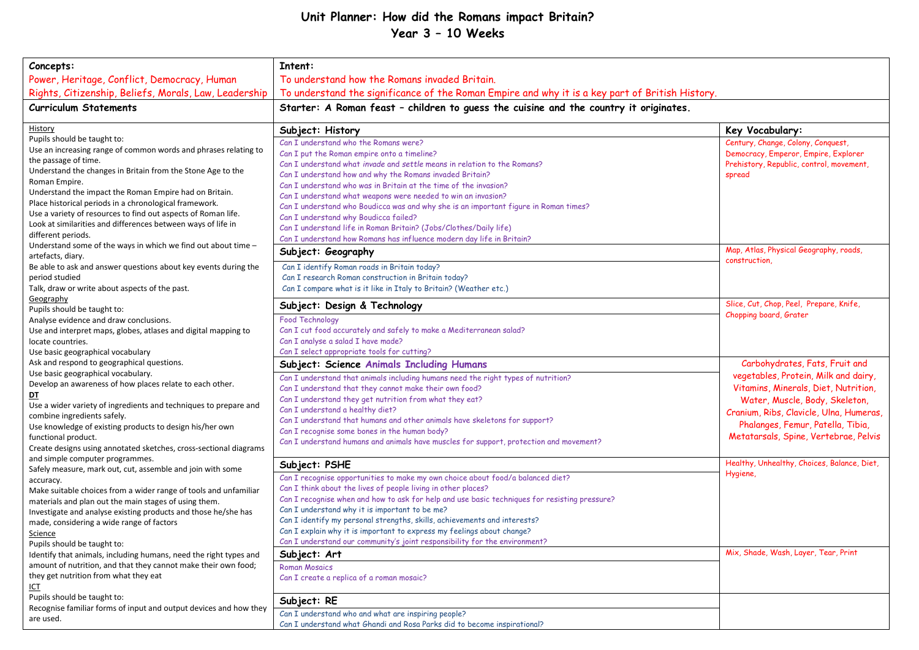## **Unit Planner: How did the Romans impact Britain? Year 3 – 10 Weeks**

| Concepts:                                                         | Intent:                                                                                                        |                                             |  |
|-------------------------------------------------------------------|----------------------------------------------------------------------------------------------------------------|---------------------------------------------|--|
| Power, Heritage, Conflict, Democracy, Human                       | To understand how the Romans invaded Britain.                                                                  |                                             |  |
| Rights, Citizenship, Beliefs, Morals, Law, Leadership             | To understand the significance of the Roman Empire and why it is a key part of British History.                |                                             |  |
| <b>Curriculum Statements</b>                                      | Starter: A Roman feast - children to guess the cuisine and the country it originates.                          |                                             |  |
|                                                                   |                                                                                                                |                                             |  |
| History                                                           | Subject: History                                                                                               | Key Vocabulary:                             |  |
| Pupils should be taught to:                                       | Can I understand who the Romans were?                                                                          | Century, Change, Colony, Conquest,          |  |
| Use an increasing range of common words and phrases relating to   | Can I put the Roman empire onto a timeline?                                                                    | Democracy, Emperor, Empire, Explorer        |  |
| the passage of time.                                              | Can I understand what invade and settle means in relation to the Romans?                                       | Prehistory, Republic, control, movement,    |  |
| Understand the changes in Britain from the Stone Age to the       | Can I understand how and why the Romans invaded Britain?                                                       | spread                                      |  |
| Roman Empire.                                                     | Can I understand who was in Britain at the time of the invasion?                                               |                                             |  |
| Understand the impact the Roman Empire had on Britain.            | Can I understand what weapons were needed to win an invasion?                                                  |                                             |  |
| Place historical periods in a chronological framework.            | Can I understand who Boudicca was and why she is an important figure in Roman times?                           |                                             |  |
| Use a variety of resources to find out aspects of Roman life.     | Can I understand why Boudicca failed?                                                                          |                                             |  |
| Look at similarities and differences between ways of life in      | Can I understand life in Roman Britain? (Jobs/Clothes/Daily life)                                              |                                             |  |
| different periods.                                                | Can I understand how Romans has influence modern day life in Britain?                                          |                                             |  |
| Understand some of the ways in which we find out about time -     |                                                                                                                | Map, Atlas, Physical Geography, roads,      |  |
| artefacts, diary.                                                 | Subject: Geography                                                                                             | construction,                               |  |
| Be able to ask and answer questions about key events during the   | Can I identify Roman roads in Britain today?                                                                   |                                             |  |
| period studied                                                    | Can I research Roman construction in Britain today?                                                            |                                             |  |
| Talk, draw or write about aspects of the past.                    | Can I compare what is it like in Italy to Britain? (Weather etc.)                                              |                                             |  |
| Geography                                                         |                                                                                                                | Slice, Cut, Chop, Peel, Prepare, Knife,     |  |
| Pupils should be taught to:                                       | Subject: Design & Technology                                                                                   |                                             |  |
| Analyse evidence and draw conclusions.                            | <b>Food Technology</b>                                                                                         | Chopping board, Grater                      |  |
| Use and interpret maps, globes, atlases and digital mapping to    | Can I cut food accurately and safely to make a Mediterranean salad?                                            |                                             |  |
| locate countries.                                                 | Can I analyse a salad I have made?                                                                             |                                             |  |
| Use basic geographical vocabulary                                 | Can I select appropriate tools for cutting?                                                                    |                                             |  |
| Ask and respond to geographical questions.                        | <b>Subject: Science Animals Including Humans</b>                                                               | Carbohydrates, Fats, Fruit and              |  |
| Use basic geographical vocabulary.                                | Can I understand that animals including humans need the right types of nutrition?                              | vegetables, Protein, Milk and dairy,        |  |
| Develop an awareness of how places relate to each other.          | Can I understand that they cannot make their own food?                                                         | Vitamins, Minerals, Diet, Nutrition,        |  |
| <u>DT</u>                                                         | Can I understand they get nutrition from what they eat?                                                        |                                             |  |
| Use a wider variety of ingredients and techniques to prepare and  |                                                                                                                | Water, Muscle, Body, Skeleton,              |  |
| combine ingredients safely.                                       | Can I understand a healthy diet?<br>Can I understand that humans and other animals have skeletons for support? | Cranium, Ribs, Clavicle, Ulna, Humeras,     |  |
| Use knowledge of existing products to design his/her own          |                                                                                                                | Phalanges, Femur, Patella, Tibia,           |  |
| functional product.                                               | Can I recognise some bones in the human body?                                                                  | Metatarsals, Spine, Vertebrae, Pelvis       |  |
| Create designs using annotated sketches, cross-sectional diagrams | Can I understand humans and animals have muscles for support, protection and movement?                         |                                             |  |
| and simple computer programmes.                                   |                                                                                                                |                                             |  |
| Safely measure, mark out, cut, assemble and join with some        | Subject: PSHE                                                                                                  | Healthy, Unhealthy, Choices, Balance, Diet, |  |
| accuracy.                                                         | Can I recognise opportunities to make my own choice about food/a balanced diet?                                | Hygiene,                                    |  |
| Make suitable choices from a wider range of tools and unfamiliar  | Can I think about the lives of people living in other places?                                                  |                                             |  |
| materials and plan out the main stages of using them.             | Can I recognise when and how to ask for help and use basic techniques for resisting pressure?                  |                                             |  |
| Investigate and analyse existing products and those he/she has    | Can I understand why it is important to be me?                                                                 |                                             |  |
| made, considering a wide range of factors                         | Can I identify my personal strengths, skills, achievements and interests?                                      |                                             |  |
| Science                                                           | Can I explain why it is important to express my feelings about change?                                         |                                             |  |
| Pupils should be taught to:                                       | Can I understand our community's joint responsibility for the environment?                                     |                                             |  |
| Identify that animals, including humans, need the right types and | Subject: Art                                                                                                   | Mix, Shade, Wash, Layer, Tear, Print        |  |
| amount of nutrition, and that they cannot make their own food;    | <b>Roman Mosaics</b>                                                                                           |                                             |  |
| they get nutrition from what they eat                             | Can I create a replica of a roman mosaic?                                                                      |                                             |  |
| <b>ICT</b>                                                        |                                                                                                                |                                             |  |
| Pupils should be taught to:                                       |                                                                                                                |                                             |  |
| Recognise familiar forms of input and output devices and how they | Subject: RE                                                                                                    |                                             |  |
| are used.                                                         | Can I understand who and what are inspiring people?                                                            |                                             |  |
|                                                                   | Can I understand what Ghandi and Rosa Parks did to become inspirational?                                       |                                             |  |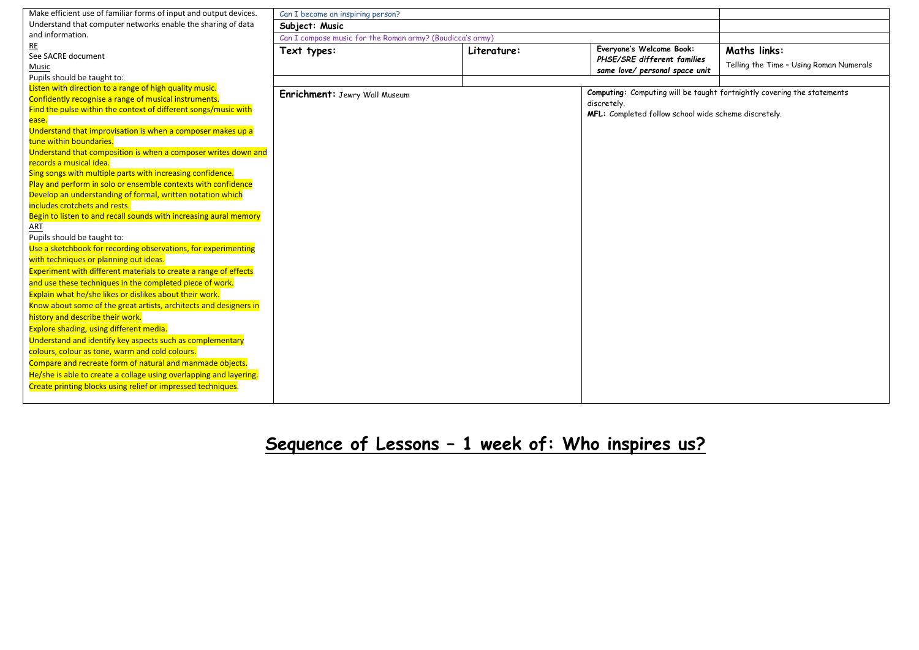| Make efficient use of familiar forms of input and output devices.                           | Can I become an inspiring person?                         |             |                                                                         |                                         |
|---------------------------------------------------------------------------------------------|-----------------------------------------------------------|-------------|-------------------------------------------------------------------------|-----------------------------------------|
| Understand that computer networks enable the sharing of data                                | Subject: Music                                            |             |                                                                         |                                         |
| and information.                                                                            | Can I compose music for the Roman army? (Boudicca's army) |             |                                                                         |                                         |
| RE                                                                                          | Text types:                                               | Literature: | Everyone's Welcome Book:                                                | <b>Maths links:</b>                     |
| See SACRE document                                                                          |                                                           |             | PHSE/SRE different families                                             |                                         |
| Music                                                                                       |                                                           |             | same love/ personal space unit                                          | Telling the Time - Using Roman Numerals |
| Pupils should be taught to:                                                                 |                                                           |             |                                                                         |                                         |
| Listen with direction to a range of high quality music.                                     | Enrichment: Jewry Wall Museum                             |             | Computing: Computing will be taught fortnightly covering the statements |                                         |
| Confidently recognise a range of musical instruments.                                       |                                                           |             | discretely.                                                             |                                         |
| Find the pulse within the context of different songs/music with                             |                                                           |             | MFL: Completed follow school wide scheme discretely.                    |                                         |
| ease.                                                                                       |                                                           |             |                                                                         |                                         |
| Understand that improvisation is when a composer makes up a                                 |                                                           |             |                                                                         |                                         |
| tune within boundaries.                                                                     |                                                           |             |                                                                         |                                         |
| Understand that composition is when a composer writes down and                              |                                                           |             |                                                                         |                                         |
| records a musical idea.                                                                     |                                                           |             |                                                                         |                                         |
| Sing songs with multiple parts with increasing confidence.                                  |                                                           |             |                                                                         |                                         |
| Play and perform in solo or ensemble contexts with confidence                               |                                                           |             |                                                                         |                                         |
| Develop an understanding of formal, written notation which<br>includes crotchets and rests. |                                                           |             |                                                                         |                                         |
| Begin to listen to and recall sounds with increasing aural memory                           |                                                           |             |                                                                         |                                         |
| ART                                                                                         |                                                           |             |                                                                         |                                         |
| Pupils should be taught to:                                                                 |                                                           |             |                                                                         |                                         |
| Use a sketchbook for recording observations, for experimenting                              |                                                           |             |                                                                         |                                         |
| with techniques or planning out ideas.                                                      |                                                           |             |                                                                         |                                         |
| Experiment with different materials to create a range of effects                            |                                                           |             |                                                                         |                                         |
| and use these techniques in the completed piece of work.                                    |                                                           |             |                                                                         |                                         |
| Explain what he/she likes or dislikes about their work.                                     |                                                           |             |                                                                         |                                         |
| Know about some of the great artists, architects and designers in                           |                                                           |             |                                                                         |                                         |
|                                                                                             |                                                           |             |                                                                         |                                         |
| history and describe their work.                                                            |                                                           |             |                                                                         |                                         |
| Explore shading, using different media.                                                     |                                                           |             |                                                                         |                                         |
| Understand and identify key aspects such as complementary                                   |                                                           |             |                                                                         |                                         |
| colours, colour as tone, warm and cold colours.                                             |                                                           |             |                                                                         |                                         |
| Compare and recreate form of natural and manmade objects.                                   |                                                           |             |                                                                         |                                         |
| He/she is able to create a collage using overlapping and layering.                          |                                                           |             |                                                                         |                                         |
| Create printing blocks using relief or impressed techniques.                                |                                                           |             |                                                                         |                                         |
|                                                                                             |                                                           |             |                                                                         |                                         |

**Sequence of Lessons – 1 week of: Who inspires us?**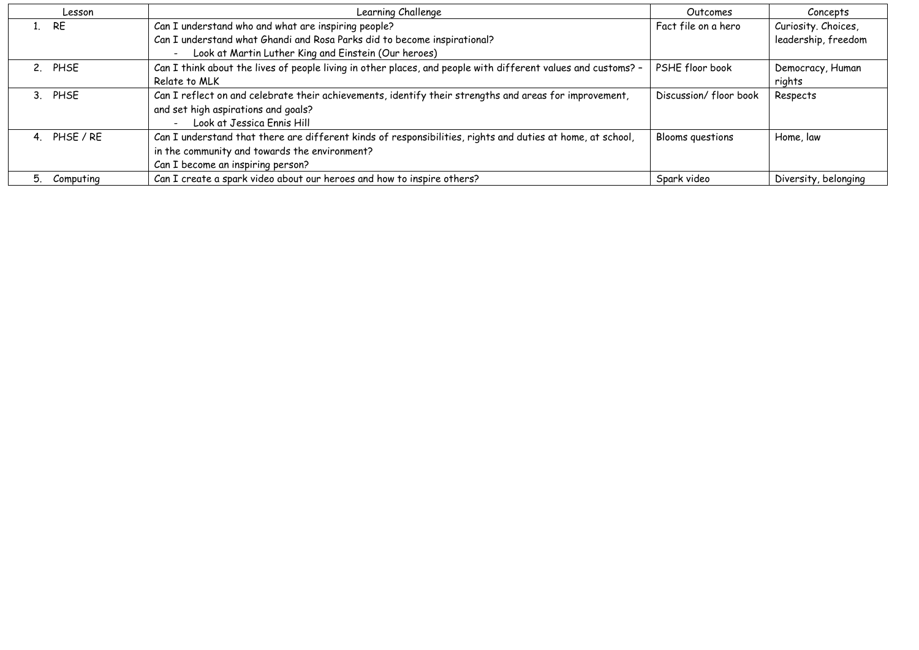| Lesson               | Learning Challenge                                                                                            | Outcomes               | Concepts             |
|----------------------|---------------------------------------------------------------------------------------------------------------|------------------------|----------------------|
| <b>RE</b><br>$1_{-}$ | Can I understand who and what are inspiring people?                                                           | Fact file on a hero    | Curiosity. Choices,  |
|                      | Can I understand what Ghandi and Rosa Parks did to become inspirational?                                      |                        | leadership, freedom  |
|                      | Look at Martin Luther King and Einstein (Our heroes)                                                          |                        |                      |
| 2. PHSE              | Can I think about the lives of people living in other places, and people with different values and customs? - | PSHE floor book        | Democracy, Human     |
|                      | Relate to MLK                                                                                                 |                        | rights               |
| 3. PHSE              | Can I reflect on and celebrate their achievements, identify their strengths and areas for improvement,        | Discussion/ floor book | Respects             |
|                      | and set high aspirations and goals?                                                                           |                        |                      |
|                      | Look at Jessica Ennis Hill                                                                                    |                        |                      |
| 4. PHSE / RE         | Can I understand that there are different kinds of responsibilities, rights and duties at home, at school,    | Blooms questions       | Home, law            |
|                      | in the community and towards the environment?                                                                 |                        |                      |
|                      | Can I become an inspiring person?                                                                             |                        |                      |
| Computing            | Can I create a spark video about our heroes and how to inspire others?                                        | Spark video            | Diversity, belonging |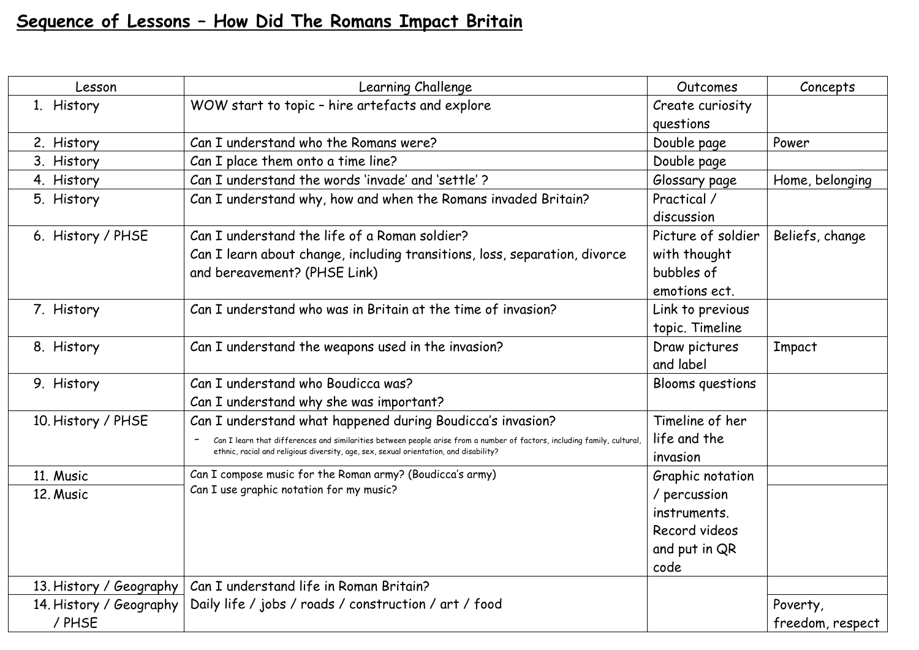## **Sequence of Lessons – How Did The Romans Impact Britain**

| Lesson                  | Learning Challenge                                                                                                                                                                                                | Outcomes           | Concepts         |
|-------------------------|-------------------------------------------------------------------------------------------------------------------------------------------------------------------------------------------------------------------|--------------------|------------------|
| 1. History              | WOW start to topic - hire artefacts and explore                                                                                                                                                                   | Create curiosity   |                  |
|                         |                                                                                                                                                                                                                   | questions          |                  |
| 2. History              | Can I understand who the Romans were?                                                                                                                                                                             | Double page        | Power            |
| 3. History              | Can I place them onto a time line?                                                                                                                                                                                | Double page        |                  |
| 4. History              | Can I understand the words 'invade' and 'settle'?                                                                                                                                                                 | Glossary page      | Home, belonging  |
| 5. History              | Can I understand why, how and when the Romans invaded Britain?                                                                                                                                                    | Practical /        |                  |
|                         |                                                                                                                                                                                                                   | discussion         |                  |
| 6. History / PHSE       | Can I understand the life of a Roman soldier?                                                                                                                                                                     | Picture of soldier | Beliefs, change  |
|                         | Can I learn about change, including transitions, loss, separation, divorce                                                                                                                                        | with thought       |                  |
|                         | and bereavement? (PHSE Link)                                                                                                                                                                                      | bubbles of         |                  |
|                         |                                                                                                                                                                                                                   | emotions ect.      |                  |
| 7. History              | Can I understand who was in Britain at the time of invasion?                                                                                                                                                      | Link to previous   |                  |
|                         |                                                                                                                                                                                                                   | topic. Timeline    |                  |
| 8. History              | Can I understand the weapons used in the invasion?                                                                                                                                                                | Draw pictures      | Impact           |
|                         |                                                                                                                                                                                                                   | and label          |                  |
| 9. History              | Can I understand who Boudicca was?                                                                                                                                                                                | Blooms questions   |                  |
|                         | Can I understand why she was important?                                                                                                                                                                           |                    |                  |
| 10. History / PHSE      | Can I understand what happened during Boudicca's invasion?                                                                                                                                                        | Timeline of her    |                  |
|                         | Can I learn that differences and similarities between people arise from a number of factors, including family, cultural,<br>ethnic, racial and religious diversity, age, sex, sexual orientation, and disability? | life and the       |                  |
|                         |                                                                                                                                                                                                                   | invasion           |                  |
| 11. Music               | Can I compose music for the Roman army? (Boudicca's army)                                                                                                                                                         | Graphic notation   |                  |
| 12. Music               | Can I use graphic notation for my music?                                                                                                                                                                          | / percussion       |                  |
|                         |                                                                                                                                                                                                                   | instruments.       |                  |
|                         |                                                                                                                                                                                                                   | Record videos      |                  |
|                         |                                                                                                                                                                                                                   | and put in QR      |                  |
|                         |                                                                                                                                                                                                                   | code               |                  |
| 13. History / Geography | Can I understand life in Roman Britain?                                                                                                                                                                           |                    |                  |
| 14. History / Geography | Daily life / jobs / roads / construction / art / food                                                                                                                                                             |                    | Poverty,         |
| / PHSE                  |                                                                                                                                                                                                                   |                    | freedom, respect |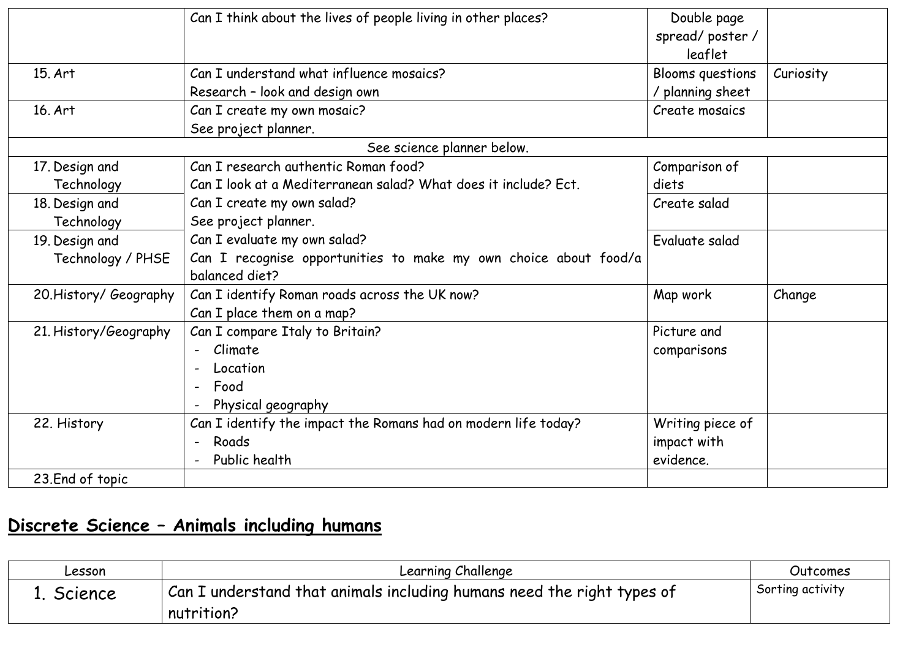|                        | Can I think about the lives of people living in other places?    | Double page<br>spread/poster/<br>leaflet |           |
|------------------------|------------------------------------------------------------------|------------------------------------------|-----------|
| 15. Art                | Can I understand what influence mosaics?                         | Blooms questions                         | Curiosity |
|                        | Research - look and design own                                   | / planning sheet                         |           |
| 16. Art                | Can I create my own mosaic?                                      | Create mosaics                           |           |
|                        | See project planner.                                             |                                          |           |
|                        | See science planner below.                                       |                                          |           |
| 17. Design and         | Can I research authentic Roman food?                             | Comparison of                            |           |
| Technology             | Can I look at a Mediterranean salad? What does it include? Ect.  | diets                                    |           |
| 18. Design and         | Can I create my own salad?                                       | Create salad                             |           |
| Technology             | See project planner.                                             |                                          |           |
| 19. Design and         | Can I evaluate my own salad?                                     | Evaluate salad                           |           |
| Technology / PHSE      | Can I recognise opportunities to make my own choice about food/a |                                          |           |
|                        | balanced diet?                                                   |                                          |           |
| 20. History/ Geography | Can I identify Roman roads across the UK now?                    | Map work                                 | Change    |
|                        | Can I place them on a map?                                       |                                          |           |
| 21. History/Geography  | Can I compare Italy to Britain?                                  | Picture and                              |           |
|                        | - Climate                                                        | comparisons                              |           |
|                        | Location                                                         |                                          |           |
|                        | Food                                                             |                                          |           |
|                        | Physical geography                                               |                                          |           |
| 22. History            | Can I identify the impact the Romans had on modern life today?   | Writing piece of                         |           |
|                        | Roads<br>$\sim$ $-$                                              | impact with                              |           |
|                        | Public health                                                    | evidence.                                |           |
| 23.End of topic        |                                                                  |                                          |           |

## **Discrete Science – Animals including humans**

| Lesson  | Learning Challenge                                                     | Outcomes         |
|---------|------------------------------------------------------------------------|------------------|
| Science | Can I understand that animals including humans need the right types of | Sorting activity |
|         | nutrition?                                                             |                  |